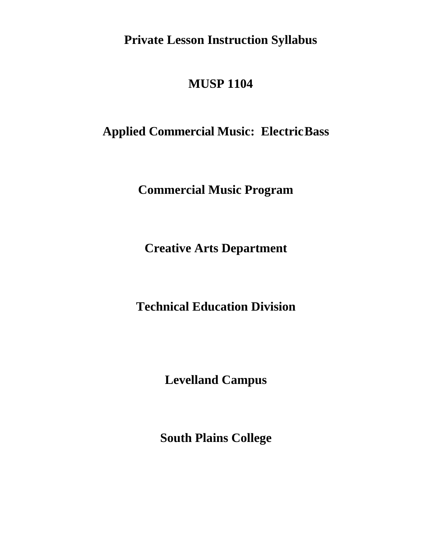**Private Lesson Instruction Syllabus** 

# **MUSP 1104**

# **Applied Commercial Music: ElectricBass**

**Commercial Music Program**

**Creative Arts Department**

**Technical Education Division**

**Levelland Campus**

**South Plains College**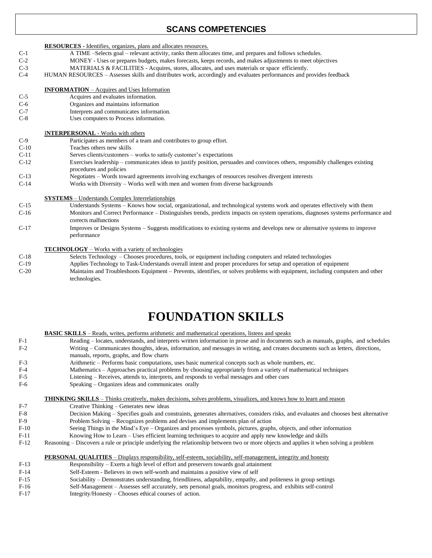# **SCANS COMPETENCIES**

#### **RESOURCES -** Identifies, organizes, plans and allocates resources.

- C-1 A TIME –Selects goal relevant activity, ranks them allocates time, and prepares and follows schedules.
- C-2 MONEY Uses or prepares budgets, makes forecasts, keeps records, and makes adjustments to meet objectives
- C-3 MATERIALS & FACILITIES Acquires, stores, allocates, and uses materials or space efficiently.
- C-4 HUMAN RESOURCES Assesses skills and distributes work, accordingly and evaluates performances and provides feedback

#### **INFORMATION** – Acquires and Uses Information

- C-5 Acquires and evaluates information.
- C-6 Organizes and maintains information
- C-7 Interprets and communicates information.
- C-8 Uses computers to Process information.

#### I**NTERPERSONAL** - Works with others

| C-9 | Participates as members of a team and contributes to group effort. |
|-----|--------------------------------------------------------------------|
|-----|--------------------------------------------------------------------|

- C-10 Teaches others new skills
- C-11 Serves clients/customers works to satisfy customer's expectations
- C-12 Exercises leadership communicates ideas to justify position, persuades and convinces others, responsibly challenges existing procedures and policies
- C-13 Negotiates Words toward agreements involving exchanges of resources resolves divergent interests
- C-14 Works with Diversity Works well with men and women from diverse backgrounds

#### **SYSTEMS** – Understands Complex Interrelationships

- C-15 Understands Systems Knows how social, organizational, and technological systems work and operates effectively with them Monitors and Correct Performance – Distinguishes trends, predicts impacts on system operations, diagnoses systems performance and corrects malfunctions
- C-17 Improves or Designs Systems Suggests modifications to existing systems and develops new or alternative systems to improve performance

#### **TECHNOLOGY** – Works with a variety of technologies

- C-18 Selects Technology Chooses procedures, tools, or equipment including computers and related technologies
- C-19 Applies Technology to Task-Understands overall intent and proper procedures for setup and operation of equipment
- C-20 Maintains and Troubleshoots Equipment Prevents, identifies, or solves problems with equipment, including computers and other technologies.

# **FOUNDATION SKILLS**

**BASIC SKILLS** – Reads, writes, performs arithmetic and mathematical operations, listens and speaks

- F-1 Reading locates, understands, and interprets written information in prose and in documents such as manuals, graphs, and schedules F-2 Writing – Communicates thoughts, ideas, information, and messages in writing, and creates documents such as letters, directions, manuals, reports, graphs, and flow charts
- F-3 Arithmetic Performs basic computations, uses basic numerical concepts such as whole numbers, etc.
- F-4 Mathematics Approaches practical problems by choosing appropriately from a variety of mathematical techniques<br>F-5 Listening Receives, attends to, interprets, and responds to verbal messages and other cues
	- Listening Receives, attends to, interprets, and responds to verbal messages and other cues
- F-6 Speaking Organizes ideas and communicates orally

### **THINKING SKILLS** – Thinks creatively, makes decisions, solves problems, visualizes, and knows how to learn and reason

- F-7 Creative Thinking Generates new ideas
- F-8 Decision Making Specifies goals and constraints, generates alternatives, considers risks, and evaluates and chooses best alternative F-9 Problem Solving – Recognizes problems and devises and implements plan of action
- F-10 Seeing Things in the Mind's Eye Organizes and processes symbols, pictures, graphs, objects, and other information
- F-11 Knowing How to Learn Uses efficient learning techniques to acquire and apply new knowledge and skills
- F-12 Reasoning Discovers a rule or principle underlying the relationship between two or more objects and applies it when solving a problem

#### **PERSONAL QUALITIES** – Displays responsibility, self-esteem, sociability, self-management, integrity and honesty

- F-13 Responsibility Exerts a high level of effort and preservers towards goal attainment
- F-14 Self-Esteem Believes in own self-worth and maintains a positive view of self
- F-15 Sociability Demonstrates understanding, friendliness, adaptability, empathy, and politeness in group settings
- F-16 Self-Management Assesses self accurately, sets personal goals, monitors progress, and exhibits self-control
- F-17 Integrity/Honesty Chooses ethical courses of action.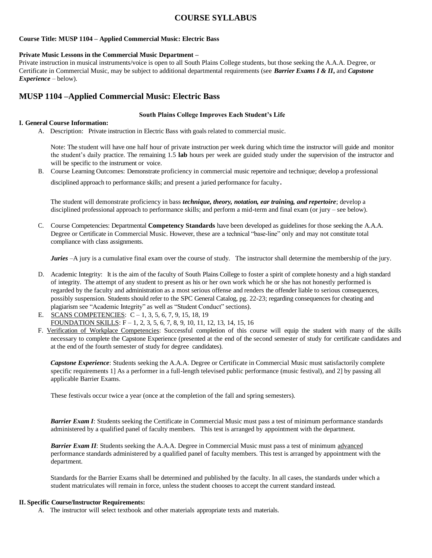# **COURSE SYLLABUS**

## **Course Title: MUSP 1104 – Applied Commercial Music: Electric Bass**

## **Private Music Lessons in the Commercial Music Department –**

Private instruction in musical instruments/voice is open to all South Plains College students, but those seeking the A.A.A. Degree, or Certificate in Commercial Music, may be subject to additional departmental requirements (see *Barrier Exams I & II***,** and *Capstone Experience* – below).

# **MUSP 1104 –Applied Commercial Music: Electric Bass**

## **South Plains College Improves Each Student's Life**

## **I. General Course Information:**

A. Description: Private instruction in Electric Bass with goals related to commercial music.

Note: The student will have one half hour of private instruction per week during which time the instructor will guide and monitor the student's daily practice. The remaining 1.5 **lab** hours per week are guided study under the supervision of the instructor and will be specific to the instrument or voice.

B. Course Learning Outcomes: Demonstrate proficiency in commercial music repertoire and technique; develop a professional

disciplined approach to performance skills; and present a juried performance for faculty.

The student will demonstrate proficiency in bass *technique, theory, notation, ear training, and repertoire*; develop a disciplined professional approach to performance skills; and perform a mid-term and final exam (or jury – see below).

C. Course Competencies: Departmental **Competency Standards** have been developed as guidelines for those seeking the A.A.A. Degree or Certificate in Commercial Music. However, these are a technical "base-line" only and may not constitute total compliance with class assignments.

*Juries*  $-A$  jury is a cumulative final exam over the course of study. The instructor shall determine the membership of the jury.

- D. Academic Integrity: It is the aim of the faculty of South Plains College to foster a spirit of complete honesty and a high standard of integrity. The attempt of any student to present as his or her own work which he or she has not honestly performed is regarded by the faculty and administration as a most serious offense and renders the offender liable to serious consequences, possibly suspension. Students should refer to the SPC General Catalog, pg. 22-23; regarding consequences for cheating and plagiarism see "Academic Integrity" as well as "Student Conduct" sections).
- E. SCANS COMPETENCIES: C 1, 3, 5, 6, 7, 9, 15, 18, 19 FOUNDATION SKILLS: F – 1, 2, 3, 5, 6, 7, 8, 9, 10, 11, 12, 13, 14, 15, 16
- F. Verification of Workplace Competencies: Successful completion of this course will equip the student with many of the skills necessary to complete the Capstone Experience (presented at the end of the second semester of study for certificate candidates and at the end of the fourth semester of study for degree candidates).

*Capstone Experience*: Students seeking the A.A.A. Degree or Certificate in Commercial Music must satisfactorily complete specific requirements 1] As a performer in a full-length televised public performance (music festival), and 2] by passing all applicable Barrier Exams.

These festivals occur twice a year (once at the completion of the fall and spring semesters).

**Barrier Exam I:** Students seeking the Certificate in Commercial Music must pass a test of minimum performance standards administered by a qualified panel of faculty members. This test is arranged by appointment with the department.

*Barrier Exam II*: Students seeking the A.A.A. Degree in Commercial Music must pass a test of minimum advanced performance standards administered by a qualified panel of faculty members. This test is arranged by appointment with the department.

Standards for the Barrier Exams shall be determined and published by the faculty. In all cases, the standards under which a student matriculates will remain in force, unless the student chooses to accept the current standard instead.

## **II. Specific Course/Instructor Requirements:**

A. The instructor will select textbook and other materials appropriate texts and materials.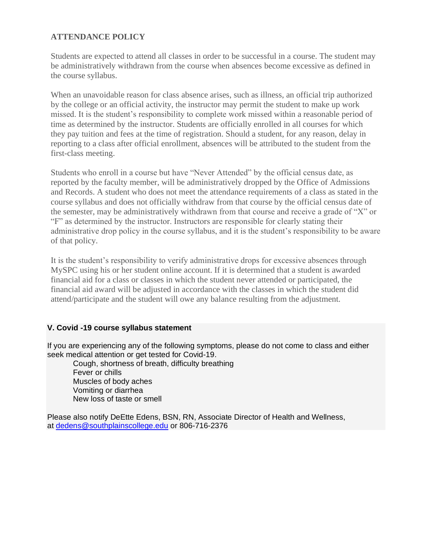# **ATTENDANCE POLICY**

Students are expected to attend all classes in order to be successful in a course. The student may be administratively withdrawn from the course when absences become excessive as defined in the course syllabus.

When an unavoidable reason for class absence arises, such as illness, an official trip authorized by the college or an official activity, the instructor may permit the student to make up work missed. It is the student's responsibility to complete work missed within a reasonable period of time as determined by the instructor. Students are officially enrolled in all courses for which they pay tuition and fees at the time of registration. Should a student, for any reason, delay in reporting to a class after official enrollment, absences will be attributed to the student from the first-class meeting.

Students who enroll in a course but have "Never Attended" by the official census date, as reported by the faculty member, will be administratively dropped by the Office of Admissions and Records. A student who does not meet the attendance requirements of a class as stated in the course syllabus and does not officially withdraw from that course by the official census date of the semester, may be administratively withdrawn from that course and receive a grade of "X" or "F" as determined by the instructor. Instructors are responsible for clearly stating their administrative drop policy in the course syllabus, and it is the student's responsibility to be aware of that policy.

It is the student's responsibility to verify administrative drops for excessive absences through MySPC using his or her student online account. If it is determined that a student is awarded financial aid for a class or classes in which the student never attended or participated, the financial aid award will be adjusted in accordance with the classes in which the student did attend/participate and the student will owe any balance resulting from the adjustment.

## **V. Covid -19 course syllabus statement**

If you are experiencing any of the following symptoms, please do not come to class and either seek medical attention or get tested for Covid-19.

 Cough, shortness of breath, difficulty breathing Fever or chills Muscles of body aches Vomiting or diarrhea New loss of taste or smell

Please also notify DeEtte Edens, BSN, RN, Associate Director of Health and Wellness, at [dedens@southplainscollege.edu](mailto:dedens@southplainscollege.edu) or 806-716-2376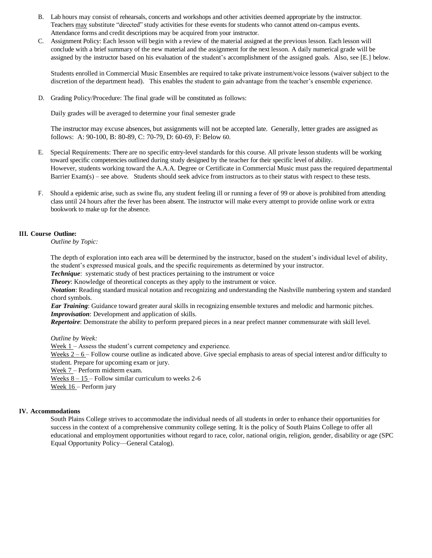- B. Lab hours may consist of rehearsals, concerts and workshops and other activities deemed appropriate by the instructor. Teachers may substitute "directed" study activities for these events for students who cannot attend on-campus events. Attendance forms and credit descriptions may be acquired from your instructor.
- C. Assignment Policy: Each lesson will begin with a review of the material assigned at the previous lesson. Each lesson will conclude with a brief summary of the new material and the assignment for the next lesson. A daily numerical grade will be assigned by the instructor based on his evaluation of the student's accomplishment of the assigned goals. Also, see [E.] below.

Students enrolled in Commercial Music Ensembles are required to take private instrument/voice lessons (waiver subject to the discretion of the department head). This enables the student to gain advantage from the teacher's ensemble experience.

D. Grading Policy/Procedure: The final grade will be constituted as follows:

Daily grades will be averaged to determine your final semester grade

The instructor may excuse absences, but assignments will not be accepted late. Generally, letter grades are assigned as follows: A: 90-100, B: 80-89, C: 70-79, D: 60-69, F: Below 60.

- E. Special Requirements: There are no specific entry-level standards for this course. All private lesson students will be working toward specific competencies outlined during study designed by the teacher for their specific level of ability. However, students working toward the A.A.A. Degree or Certificate in Commercial Music must pass the required departmental Barrier Exam(s) – see above. Students should seek advice from instructors as to their status with respect to these tests.
- F. Should a epidemic arise, such as swine flu, any student feeling ill or running a fever of 99 or above is prohibited from attending class until 24 hours after the fever has been absent. The instructor will make every attempt to provide online work or extra bookwork to make up for the absence.

## **III. Course Outline:**

*Outline by Topic:*

The depth of exploration into each area will be determined by the instructor, based on the student's individual level of ability, the student's expressed musical goals, and the specific requirements as determined by your instructor.

*Technique*: systematic study of best practices pertaining to the instrument or voice

**Theory:** Knowledge of theoretical concepts as they apply to the instrument or voice.

*Notation*: Reading standard musical notation and recognizing and understanding the Nashville numbering system and standard chord symbols.

*Ear Training*: Guidance toward greater aural skills in recognizing ensemble textures and melodic and harmonic pitches. *Improvisation*: Development and application of skills.

*Repertoire*: Demonstrate the ability to perform prepared pieces in a near prefect manner commensurate with skill level.

*Outline by Week:*

Week 1 – Assess the student's current competency and experience.

Weeks  $2 - 6$  – Follow course outline as indicated above. Give special emphasis to areas of special interest and/or difficulty to student. Prepare for upcoming exam or jury.

Week 7 – Perform midterm exam.

Weeks  $8 - 15$  – Follow similar curriculum to weeks 2-6

Week 16 – Perform jury

## **IV. Accommodations**

South Plains College strives to accommodate the individual needs of all students in order to enhance their opportunities for success in the context of a comprehensive community college setting. It is the policy of South Plains College to offer all educational and employment opportunities without regard to race, color, national origin, religion, gender, disability or age (SPC Equal Opportunity Policy—General Catalog).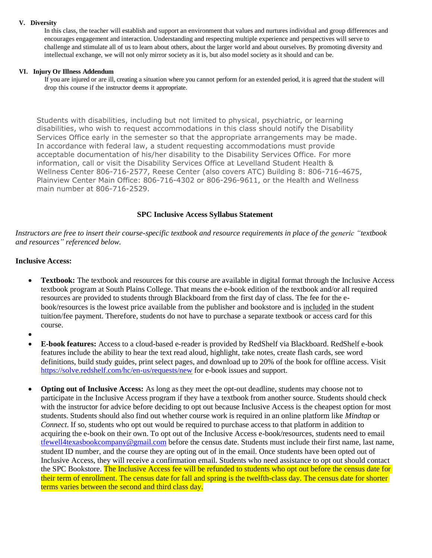## **V. Diversity**

In this class, the teacher will establish and support an environment that values and nurtures individual and group differences and encourages engagement and interaction. Understanding and respecting multiple experience and perspectives will serve to challenge and stimulate all of us to learn about others, about the larger world and about ourselves. By promoting diversity and intellectual exchange, we will not only mirror society as it is, but also model society as it should and can be.

## **VI. Injury Or Illness Addendum**

If you are injured or are ill, creating a situation where you cannot perform for an extended period, it is agreed that the student will drop this course if the instructor deems it appropriate.

Students with disabilities, including but not limited to physical, psychiatric, or learning disabilities, who wish to request accommodations in this class should notify the Disability Services Office early in the semester so that the appropriate arrangements may be made. In accordance with federal law, a student requesting accommodations must provide acceptable documentation of his/her disability to the Disability Services Office. For more information, call or visit the Disability Services Office at Levelland Student Health & Wellness Center 806-716-2577, Reese Center (also covers ATC) Building 8: 806-716-4675, Plainview Center Main Office: 806-716-4302 or 806-296-9611, or the Health and Wellness main number at 806-716-2529.

## **SPC Inclusive Access Syllabus Statement**

*Instructors are free to insert their course-specific textbook and resource requirements in place of the generic "textbook and resources" referenced below.*

## **Inclusive Access:**

- **Textbook:** The textbook and resources for this course are available in digital format through the Inclusive Access textbook program at South Plains College. That means the e-book edition of the textbook and/or all required resources are provided to students through Blackboard from the first day of class. The fee for the ebook/resources is the lowest price available from the publisher and bookstore and is included in the student tuition/fee payment. Therefore, students do not have to purchase a separate textbook or access card for this course.
- •
- **E-book features:** Access to a cloud-based e-reader is provided by RedShelf via Blackboard. RedShelf e-book features include the ability to hear the text read aloud, highlight, take notes, create flash cards, see word definitions, build study guides, print select pages, and download up to 20% of the book for offline access. Visit <https://solve.redshelf.com/hc/en-us/requests/new> for e-book issues and support.
- **Opting out of Inclusive Access:** As long as they meet the opt-out deadline, students may choose not to participate in the Inclusive Access program if they have a textbook from another source. Students should check with the instructor for advice before deciding to opt out because Inclusive Access is the cheapest option for most students. Students should also find out whether course work is required in an online platform like *Mindtap* or *Connect*. If so, students who opt out would be required to purchase access to that platform in addition to acquiring the e-book on their own. To opt out of the Inclusive Access e-book/resources, students need to email [tfewell4texasbookcompany@gmail.com](mailto:tfewell4texasbookcompany@gmail.com) before the census date. Students must include their first name, last name, student ID number, and the course they are opting out of in the email. Once students have been opted out of Inclusive Access, they will receive a confirmation email. Students who need assistance to opt out should contact the SPC Bookstore. The Inclusive Access fee will be refunded to students who opt out before the census date for their term of enrollment. The census date for fall and spring is the twelfth-class day. The census date for shorter terms varies between the second and third class day.